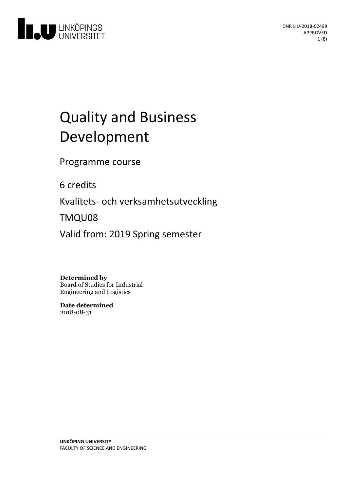

# **Quality and Business** Development

Programme course

6 credits

Kvalitets- och verksamhetsutveckling

TMQU08

Valid from: 2019 Spring semester

### **Determined by**

Board of Studies for Industrial Engineering and Logistics

**Date determined** 2018-08-31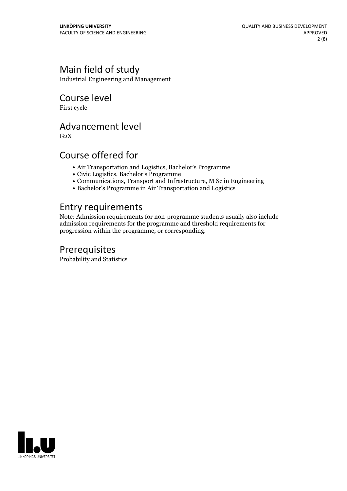# Main field of study

Industrial Engineering and Management

Course level

First cycle

### Advancement level

 $G<sub>2</sub>X$ 

## Course offered for

- Air Transportation and Logistics, Bachelor's Programme
- Civic Logistics, Bachelor's Programme
- Communications, Transport and Infrastructure, M Sc in Engineering
- Bachelor's Programme in Air Transportation and Logistics

### Entry requirements

Note: Admission requirements for non-programme students usually also include admission requirements for the programme and threshold requirements for progression within the programme, or corresponding.

### Prerequisites

Probability and Statistics

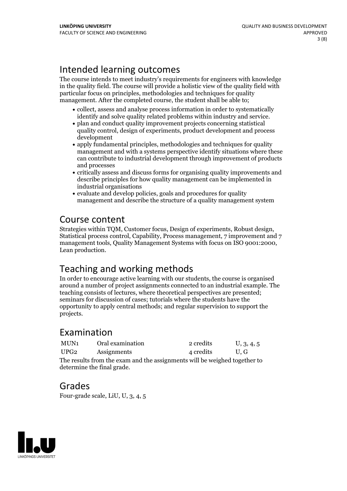# Intended learning outcomes

The course intends to meet industry's requirements for engineers with knowledge in the quality field. The course will provide a holistic view of the quality field with particular focus on principles, methodologies and techniques for quality management. After the completed course, the student shall be able to;

- collect, assess and analyse process information in order to systematically identify and solve quality related problems within industry and service.<br>• plan and conduct quality improvement projects concerning statistical
- quality control, design of experiments, product development and process development
- apply fundamental principles, methodologies and techniques for quality management and with a systems perspective identify situations where these can contribute to industrial development through improvement of products and processes
- critically assess and discuss forms for organising quality improvements and describe principles for how quality management can be implemented in industrial organisations
- evaluate and develop policies, goals and procedures for quality management and describe the structure of a quality management system

# Course content

Strategies within TQM, Customer focus, Design of experiments, Robust design, Statistical process control, Capability, Process management, <sup>7</sup> improvement and <sup>7</sup> management tools, Quality Management Systems with focus on ISO 9001:2000, Lean production.

# Teaching and working methods

In order to encourage active learning with our students, the course is organised around a number of project assignments connected to an industrial example. The teaching consists of lectures, where theoretical perspectives are presented; seminars for discussion of cases; tutorials where the students have the opportunity to apply central methods; and regular supervision to support the projects.

# Examination

| MUN1                                                                      | Oral examination | 2 credits | U, 3, 4, 5 |
|---------------------------------------------------------------------------|------------------|-----------|------------|
| UPG2                                                                      | Assignments      | 4 credits | U.G        |
| The results from the exam and the assignments will be weighed together to |                  |           |            |
| determine the final grade.                                                |                  |           |            |

### Grades

Four-grade scale, LiU, U, 3, 4, 5

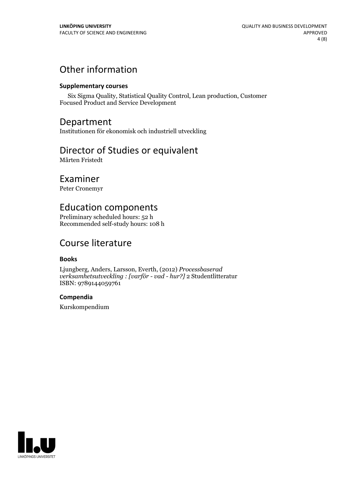# Other information

#### **Supplementarycourses**

Six Sigma Quality, Statistical Quality Control, Lean production, Customer Focused Product and Service Development

### Department

Institutionen för ekonomisk och industriell utveckling

## Director of Studies or equivalent

Mårten Fristedt

### Examiner

Peter Cronemyr

# Education components

Preliminary scheduled hours: 52 h Recommended self-study hours: 108 h

# Course literature

### **Books**

Ljungberg, Anders, Larsson, Everth, (2012) *Processbaserad verksamhetsutveckling : [varför - vad - hur?]* 2 Studentlitteratur ISBN: 9789144059761

### **Compendia**

Kurskompendium

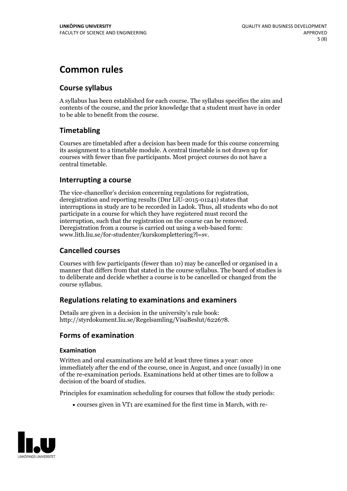# **Common rules**

### **Course syllabus**

A syllabus has been established for each course. The syllabus specifies the aim and contents of the course, and the prior knowledge that a student must have in order to be able to benefit from the course.

### **Timetabling**

Courses are timetabled after a decision has been made for this course concerning its assignment to a timetable module. A central timetable is not drawn up for courses with fewer than five participants. Most project courses do not have a central timetable.

### **Interrupting a course**

The vice-chancellor's decision concerning regulations for registration, deregistration and reporting results (Dnr LiU-2015-01241) states that interruptions in study are to be recorded in Ladok. Thus, all students who do not participate in a course for which they have registered must record the interruption, such that the registration on the course can be removed. Deregistration from <sup>a</sup> course is carried outusing <sup>a</sup> web-based form: www.lith.liu.se/for-studenter/kurskomplettering?l=sv.

### **Cancelled courses**

Courses with few participants (fewer than 10) may be cancelled or organised in a manner that differs from that stated in the course syllabus. The board of studies is to deliberate and decide whether a course is to be cancelled orchanged from the course syllabus.

### **Regulations relatingto examinations and examiners**

Details are given in a decision in the university's rule book: http://styrdokument.liu.se/Regelsamling/VisaBeslut/622678.

### **Forms of examination**

#### **Examination**

Written and oral examinations are held at least three times a year: once immediately after the end of the course, once in August, and once (usually) in one of the re-examination periods. Examinations held at other times are to follow a decision of the board of studies.

Principles for examination scheduling for courses that follow the study periods:

courses given in VT1 are examined for the first time in March, with re-

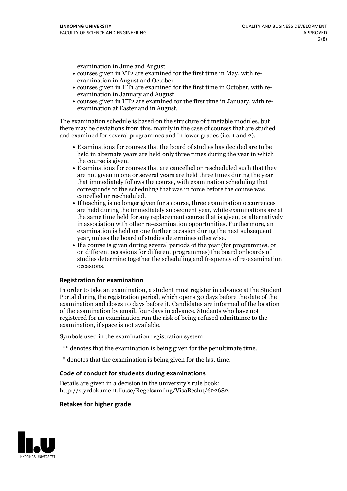examination in June and August

- courses given in VT2 are examined for the first time in May, with re-examination in August and October
- courses given in HT1 are examined for the first time in October, with re-examination in January and August
- courses given in HT2 are examined for the first time in January, with re-examination at Easter and in August.

The examination schedule is based on the structure of timetable modules, but there may be deviations from this, mainly in the case of courses that are studied and examined for several programmes and in lower grades (i.e. 1 and 2).

- Examinations for courses that the board of studies has decided are to be held in alternate years are held only three times during the year in which
- the course is given.<br>• Examinations for courses that are cancelled or rescheduled such that they are not given in one or several years are held three times during the year that immediately follows the course, with examination scheduling that corresponds to the scheduling that was in force before the course was cancelled or rescheduled.<br>• If teaching is no longer given for a course, three examination occurrences
- are held during the immediately subsequent year, while examinations are at the same time held for any replacement course that is given, or alternatively in association with other re-examination opportunities. Furthermore, an examination is held on one further occasion during the next subsequent year, unless the board of studies determines otherwise.<br>• If a course is given during several periods of the year (for programmes, or
- on different occasions for different programmes) the board orboards of studies determine together the scheduling and frequency of re-examination occasions.

#### **Registration for examination**

In order to take an examination, a student must register in advance at the Student Portal during the registration period, which opens 30 days before the date of the examination and closes 10 days before it. Candidates are informed of the location of the examination by email, four days in advance. Students who have not registered for an examination run the risk of being refused admittance to the examination, if space is not available.

Symbols used in the examination registration system:

- \*\* denotes that the examination is being given for the penultimate time.
- \* denotes that the examination is being given for the last time.

#### **Code of conduct for students during examinations**

Details are given in a decision in the university's rule book: http://styrdokument.liu.se/Regelsamling/VisaBeslut/622682.

#### **Retakes for higher grade**

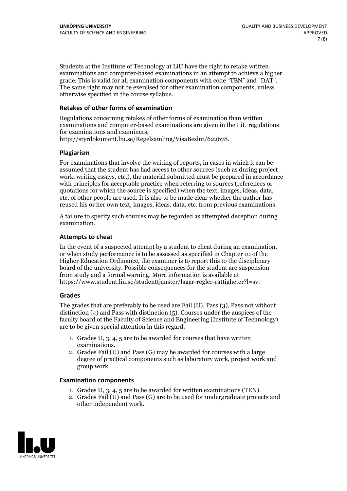Students at the Institute of Technology at LiU have the right to retake written examinations and computer-based examinations in an attempt to achieve a higher grade. This is valid for all examination components with code "TEN" and "DAT". The same right may not be exercised for other examination components, unless otherwise specified in the course syllabus.

#### **Retakes of other forms of examination**

Regulations concerning retakes of other forms of examination than written examinations and computer-based examinations are given in the LiU regulations for examinations and examiners, http://styrdokument.liu.se/Regelsamling/VisaBeslut/622678.

#### **Plagiarism**

For examinations that involve the writing of reports, in cases in which it can be assumed that the student has had access to other sources (such as during project work, writing essays, etc.), the material submitted must be prepared in accordance with principles for acceptable practice when referring to sources (references or quotations for which the source is specified) when the text, images, ideas, data, etc. of other people are used. It is also to be made clear whether the author has reused his or her own text, images, ideas, data, etc. from previous examinations.

A failure to specify such sources may be regarded as attempted deception during examination.

#### **Attempts to cheat**

In the event of <sup>a</sup> suspected attempt by <sup>a</sup> student to cheat during an examination, or when study performance is to be assessed as specified in Chapter <sup>10</sup> of the Higher Education Ordinance, the examiner is to report this to the disciplinary board of the university. Possible consequences for the student are suspension from study and a formal warning. More information is available at https://www.student.liu.se/studenttjanster/lagar-regler-rattigheter?l=sv.

#### **Grades**

The grades that are preferably to be used are Fail (U), Pass (3), Pass not without distinction  $(4)$  and Pass with distinction  $(5)$ . Courses under the auspices of the faculty board of the Faculty of Science and Engineering (Institute of Technology) are to be given special attention in this regard.

- 1. Grades U, 3, 4, 5 are to be awarded for courses that have written
- examinations. 2. Grades Fail (U) and Pass (G) may be awarded for courses with <sup>a</sup> large degree of practical components such as laboratory work, project work and group work.

#### **Examination components**

- 
- 1. Grades U, 3, 4, <sup>5</sup> are to be awarded for written examinations (TEN). 2. Grades Fail (U) and Pass (G) are to be used for undergraduate projects and other independent work.